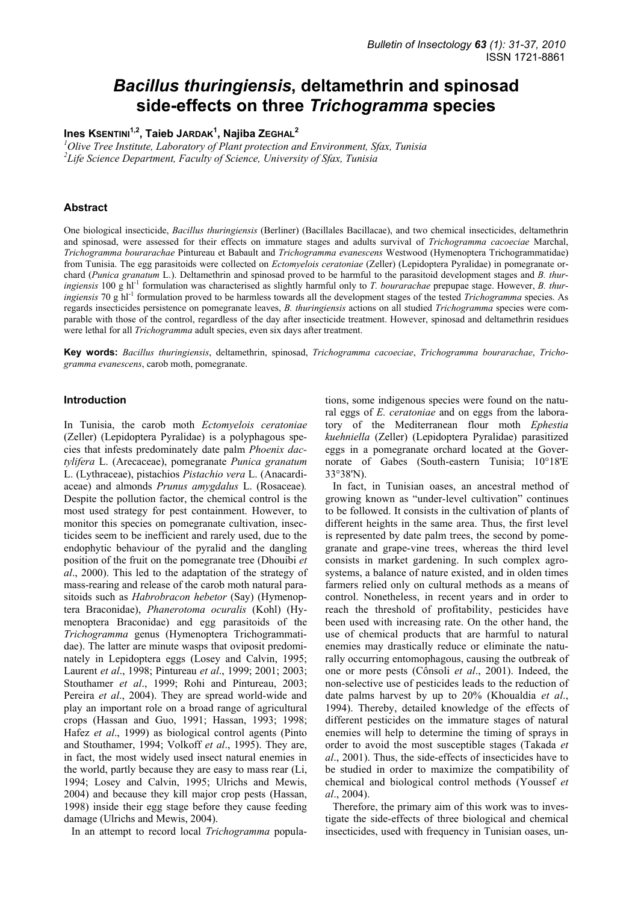# *Bacillus thuringiensis***, deltamethrin and spinosad side-effects on three** *Trichogramma* **species**

**Ines KSENTINI1,2, Taieb JARDAK1 , Najiba ZEGHAL<sup>2</sup>**

*1 Olive Tree Institute, Laboratory of Plant protection and Environment, Sfax, Tunisia 2 Life Science Department, Faculty of Science, University of Sfax, Tunisia* 

# **Abstract**

One biological insecticide, *Bacillus thuringiensis* (Berliner) (Bacillales Bacillacae), and two chemical insecticides, deltamethrin and spinosad, were assessed for their effects on immature stages and adults survival of *Trichogramma cacoeciae* Marchal, *Trichogramma bourarachae* Pintureau et Babault and *Trichogramma evanescens* Westwood (Hymenoptera Trichogrammatidae) from Tunisia. The egg parasitoids were collected on *Ectomyelois ceratoniae* (Zeller) (Lepidoptera Pyralidae) in pomegranate orchard (*Punica granatum* L.). Deltamethrin and spinosad proved to be harmful to the parasitoid development stages and *B. thuringiensis* 100 g hl<sup>-1</sup> formulation was characterised as slightly harmful only to *T. bourarachae* prepupae stage. However, *B. thuringiensis* 70 g hl<sup>-1</sup> formulation proved to be harmless towards all the development stages of the tested *Trichogramma* species. As regards insecticides persistence on pomegranate leaves, *B. thuringiensis* actions on all studied *Trichogramma* species were comparable with those of the control, regardless of the day after insecticide treatment. However, spinosad and deltamethrin residues were lethal for all *Trichogramma* adult species, even six days after treatment.

**Key words:** *Bacillus thuringiensis*, deltamethrin, spinosad, *Trichogramma cacoeciae*, *Trichogramma bourarachae*, *Trichogramma evanescens*, carob moth, pomegranate.

#### **Introduction**

In Tunisia, the carob moth *Ectomyelois ceratoniae* (Zeller) (Lepidoptera Pyralidae) is a polyphagous species that infests predominately date palm *Phoenix dactylifera* L. (Arecaceae), pomegranate *Punica granatum* L. (Lythraceae), pistachios *Pistachio vera* L. (Anacardiaceae) and almonds *Prunus amygdalus* L. (Rosaceae)*.* Despite the pollution factor, the chemical control is the most used strategy for pest containment. However, to monitor this species on pomegranate cultivation, insecticides seem to be inefficient and rarely used, due to the endophytic behaviour of the pyralid and the dangling position of the fruit on the pomegranate tree (Dhouibi *et al*., 2000). This led to the adaptation of the strategy of mass-rearing and release of the carob moth natural parasitoids such as *Habrobracon hebetor* (Say) (Hymenoptera Braconidae), *Phanerotoma ocuralis* (Kohl) (Hymenoptera Braconidae) and egg parasitoids of the *Trichogramma* genus (Hymenoptera Trichogrammatidae). The latter are minute wasps that oviposit predominately in Lepidoptera eggs (Losey and Calvin, 1995; Laurent *et al*., 1998; Pintureau *et al*., 1999; 2001; 2003; Stouthamer *et al*., 1999; Rohi and Pintureau, 2003; Pereira *et al*., 2004). They are spread world-wide and play an important role on a broad range of agricultural crops (Hassan and Guo, 1991; Hassan, 1993; 1998; Hafez *et al*., 1999) as biological control agents (Pinto and Stouthamer, 1994; Volkoff *et al*., 1995). They are, in fact, the most widely used insect natural enemies in the world, partly because they are easy to mass rear (Li, 1994; Losey and Calvin, 1995; Ulrichs and Mewis, 2004) and because they kill major crop pests (Hassan, 1998) inside their egg stage before they cause feeding damage (Ulrichs and Mewis, 2004).

In an attempt to record local *Trichogramma* popula-

tions, some indigenous species were found on the natural eggs of *E. ceratoniae* and on eggs from the laboratory of the Mediterranean flour moth *Ephestia kuehniella* (Zeller) (Lepidoptera Pyralidae) parasitized eggs in a pomegranate orchard located at the Governorate of Gabes (South-eastern Tunisia; 10°18'E 33°38'N).

In fact, in Tunisian oases, an ancestral method of growing known as "under-level cultivation" continues to be followed. It consists in the cultivation of plants of different heights in the same area. Thus, the first level is represented by date palm trees, the second by pomegranate and grape-vine trees, whereas the third level consists in market gardening. In such complex agrosystems, a balance of nature existed, and in olden times farmers relied only on cultural methods as a means of control. Nonetheless, in recent years and in order to reach the threshold of profitability, pesticides have been used with increasing rate. On the other hand, the use of chemical products that are harmful to natural enemies may drastically reduce or eliminate the naturally occurring entomophagous, causing the outbreak of one or more pests (Cônsoli *et al*., 2001). Indeed, the non-selective use of pesticides leads to the reduction of date palms harvest by up to 20% (Khoualdia *et al*., 1994). Thereby, detailed knowledge of the effects of different pesticides on the immature stages of natural enemies will help to determine the timing of sprays in order to avoid the most susceptible stages (Takada *et al*., 2001). Thus, the side-effects of insecticides have to be studied in order to maximize the compatibility of chemical and biological control methods (Youssef *et al*., 2004).

Therefore, the primary aim of this work was to investigate the side-effects of three biological and chemical insecticides, used with frequency in Tunisian oases, un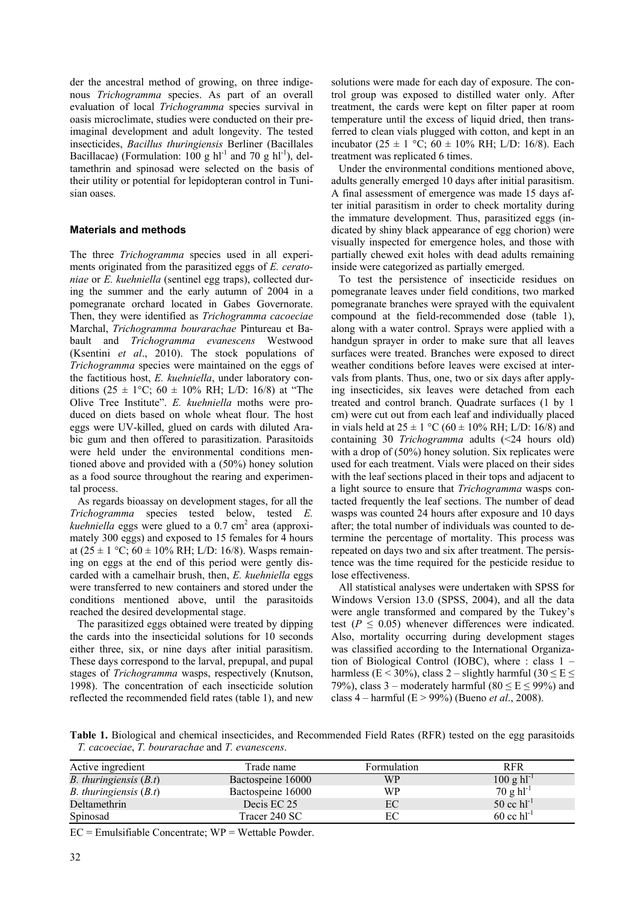der the ancestral method of growing, on three indigenous *Trichogramma* species. As part of an overall evaluation of local *Trichogramma* species survival in oasis microclimate, studies were conducted on their preimaginal development and adult longevity. The tested insecticides, *Bacillus thuringiensis* Berliner (Bacillales Bacillacae) (Formulation:  $100 \text{ g} \text{ hl}^{-1}$  and  $70 \text{ g} \text{ hl}^{-1}$ ), deltamethrin and spinosad were selected on the basis of their utility or potential for lepidopteran control in Tunisian oases.

# **Materials and methods**

The three *Trichogramma* species used in all experiments originated from the parasitized eggs of *E. ceratoniae* or *E. kuehniella* (sentinel egg traps), collected during the summer and the early autumn of 2004 in a pomegranate orchard located in Gabes Governorate. Then, they were identified as *Trichogramma cacoeciae* Marchal, *Trichogramma bourarachae* Pintureau et Babault and *Trichogramma evanescens* Westwood (Ksentini *et al*., 2010). The stock populations of *Trichogramma* species were maintained on the eggs of the factitious host, *E. kuehniella*, under laboratory conditions (25  $\pm$  1°C; 60  $\pm$  10% RH; L/D: 16/8) at "The Olive Tree Institute". *E. kuehniella* moths were produced on diets based on whole wheat flour. The host eggs were UV-killed, glued on cards with diluted Arabic gum and then offered to parasitization. Parasitoids were held under the environmental conditions mentioned above and provided with a (50%) honey solution as a food source throughout the rearing and experimental process.

As regards bioassay on development stages, for all the *Trichogramma* species tested below, tested *E.*  kuehniella eggs were glued to a 0.7 cm<sup>2</sup> area (approximately 300 eggs) and exposed to 15 females for 4 hours at  $(25 \pm 1 \degree C; 60 \pm 10\% \text{ RH}; L/D: 16/8)$ . Wasps remaining on eggs at the end of this period were gently discarded with a camelhair brush, then, *E. kuehniella* eggs were transferred to new containers and stored under the conditions mentioned above, until the parasitoids reached the desired developmental stage.

The parasitized eggs obtained were treated by dipping the cards into the insecticidal solutions for 10 seconds either three, six, or nine days after initial parasitism. These days correspond to the larval, prepupal, and pupal stages of *Trichogramma* wasps, respectively (Knutson, 1998). The concentration of each insecticide solution reflected the recommended field rates (table 1), and new solutions were made for each day of exposure. The control group was exposed to distilled water only. After treatment, the cards were kept on filter paper at room temperature until the excess of liquid dried, then transferred to clean vials plugged with cotton, and kept in an incubator (25  $\pm$  1 °C; 60  $\pm$  10% RH; L/D: 16/8). Each treatment was replicated 6 times.

Under the environmental conditions mentioned above, adults generally emerged 10 days after initial parasitism. A final assessment of emergence was made 15 days after initial parasitism in order to check mortality during the immature development. Thus, parasitized eggs (indicated by shiny black appearance of egg chorion) were visually inspected for emergence holes, and those with partially chewed exit holes with dead adults remaining inside were categorized as partially emerged.

To test the persistence of insecticide residues on pomegranate leaves under field conditions, two marked pomegranate branches were sprayed with the equivalent compound at the field-recommended dose (table 1), along with a water control. Sprays were applied with a handgun sprayer in order to make sure that all leaves surfaces were treated. Branches were exposed to direct weather conditions before leaves were excised at intervals from plants. Thus, one, two or six days after applying insecticides, six leaves were detached from each treated and control branch. Quadrate surfaces (1 by 1 cm) were cut out from each leaf and individually placed in vials held at  $25 \pm 1$  °C (60  $\pm$  10% RH; L/D: 16/8) and containing 30 *Trichogramma* adults (<24 hours old) with a drop of (50%) honey solution. Six replicates were used for each treatment. Vials were placed on their sides with the leaf sections placed in their tops and adjacent to a light source to ensure that *Trichogramma* wasps contacted frequently the leaf sections. The number of dead wasps was counted 24 hours after exposure and 10 days after; the total number of individuals was counted to determine the percentage of mortality. This process was repeated on days two and six after treatment. The persistence was the time required for the pesticide residue to lose effectiveness.

All statistical analyses were undertaken with SPSS for Windows Version 13.0 (SPSS, 2004), and all the data were angle transformed and compared by the Tukey's test ( $P \leq 0.05$ ) whenever differences were indicated. Also, mortality occurring during development stages was classified according to the International Organization of Biological Control (IOBC), where : class 1 – harmless (E < 30%), class 2 – slightly harmful (30  $\leq$  E  $\leq$ 79%), class 3 – moderately harmful (80  $\leq$  E  $\leq$  99%) and class 4 – harmful (E > 99%) (Bueno *et al*., 2008).

**Table 1.** Biological and chemical insecticides, and Recommended Field Rates (RFR) tested on the egg parasitoids *T. cacoeciae*, *T. bourarachae* and *T. evanescens*.

| Active ingredient               | Trade name        | Formulation | <b>RFR</b>                      |
|---------------------------------|-------------------|-------------|---------------------------------|
| <i>B.</i> thuringiensis $(B.t)$ | Bactospeine 16000 | <b>WP</b>   | $100 \text{ g} \text{ hl}^{-1}$ |
| <i>B.</i> thuringiensis $(B.t)$ | Bactospeine 16000 | WP          | $70 g h l^{-1}$                 |
| Deltamethrin                    | Decis EC 25       | EC          | $50$ cc $\text{hl}^{-1}$        |
| Spinosad                        | Tracer 240 SC     | EС          | $60$ cc $\rm{hl}^{-1}$          |

 $EC =$  Emulsifiable Concentrate;  $WP =$  Wettable Powder.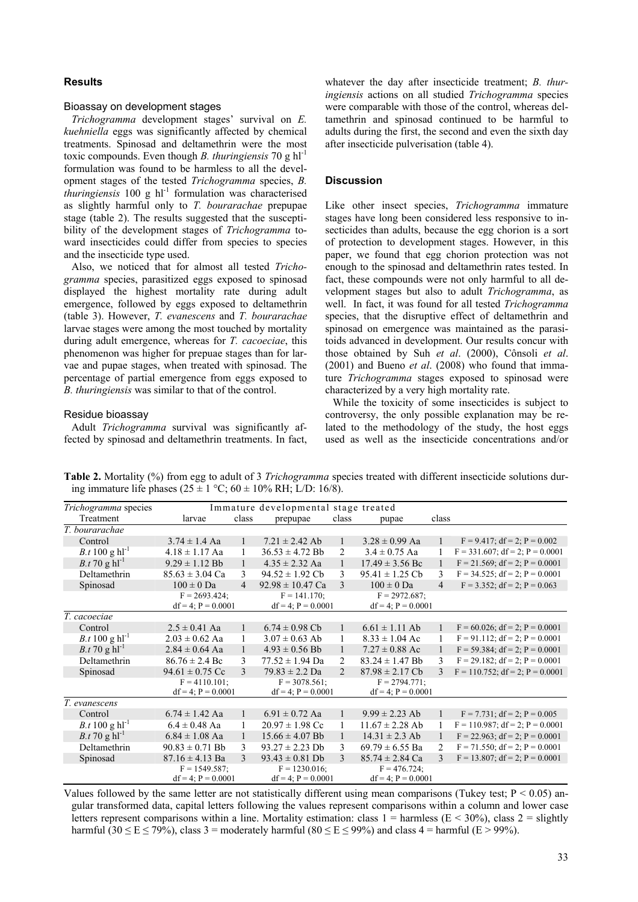# **Results**

#### Bioassay on development stages

*Trichogramma* development stages' survival on *E. kuehniella* eggs was significantly affected by chemical treatments. Spinosad and deltamethrin were the most toxic compounds. Even though *B. thuringiensis* 70 g hl-1 formulation was found to be harmless to all the development stages of the tested *Trichogramma* species, *B. thuringiensis* 100 g hl<sup>-1</sup> formulation was characterised as slightly harmful only to *T. bourarachae* prepupae stage (table 2). The results suggested that the susceptibility of the development stages of *Trichogramma* toward insecticides could differ from species to species and the insecticide type used.

Also, we noticed that for almost all tested *Trichogramma* species, parasitized eggs exposed to spinosad displayed the highest mortality rate during adult emergence, followed by eggs exposed to deltamethrin (table 3). However, *T. evanescens* and *T. bourarachae* larvae stages were among the most touched by mortality during adult emergence, whereas for *T. cacoeciae*, this phenomenon was higher for prepuae stages than for larvae and pupae stages, when treated with spinosad. The percentage of partial emergence from eggs exposed to *B. thuringiensis* was similar to that of the control.

#### Residue bioassay

Adult *Trichogramma* survival was significantly affected by spinosad and deltamethrin treatments. In fact,

whatever the day after insecticide treatment; *B. thuringiensis* actions on all studied *Trichogramma* species were comparable with those of the control, whereas deltamethrin and spinosad continued to be harmful to adults during the first, the second and even the sixth day after insecticide pulverisation (table 4).

# **Discussion**

Like other insect species, *Trichogramma* immature stages have long been considered less responsive to insecticides than adults, because the egg chorion is a sort of protection to development stages. However, in this paper, we found that egg chorion protection was not enough to the spinosad and deltamethrin rates tested. In fact, these compounds were not only harmful to all development stages but also to adult *Trichogramma*, as well. In fact, it was found for all tested *Trichogramma* species, that the disruptive effect of deltamethrin and spinosad on emergence was maintained as the parasitoids advanced in development. Our results concur with those obtained by Suh *et al*. (2000), Cônsoli *et al*. (2001) and Bueno *et al*. (2008) who found that immature *Trichogramma* stages exposed to spinosad were characterized by a very high mortality rate.

While the toxicity of some insecticides is subject to controversy, the only possible explanation may be related to the methodology of the study, the host eggs used as well as the insecticide concentrations and/or

*Trichogramma* species Immature developmental stage treated Treatment larvae class prepupae class pupae class *T. bourarachae* Control 3.74 ± 1.4 Aa 1 7.21 ± 2.42 Ab 1 3.28 ± 0.99 Aa 1 F = 9.417; df = 2; P = 0.002<br>  $B.t 100 g h1^{-1}$  4.18 ± 1.17 Aa 1 36.53 ± 4.72 Bb 2 3.4 ± 0.75 Aa 1 F = 331.607; df = 2; P = 0.0001  $\begin{array}{cccc} 4.18 \pm 1.17 \text{ Aa} & 1 & 36.53 \pm 4.72 \text{ Bb} & 2 & 3.4 \pm 0.75 \text{ Aa} & 1 & F = 331.607; \text{ df} = 2; P = 0.0001 \\ 9.29 \pm 1.12 \text{ Bb} & 1 & 4.35 \pm 2.32 \text{ Aa} & 1 & 17.49 \pm 3.56 \text{ Bc} & 1 & F = 21.569; \text{ df} = 2; P = 0.0001 \end{array}$ *B.t* 70 g hl<sup>-1</sup> 9.29  $\pm$  1.12 Bb 1 4.35  $\pm$  2.32 Aa 1 17.49  $\pm$  3.56 Bc 1 F = 21.569; df = 2; P = 0.0001 Deltamethrin 85.63 ± 3.04 Ca 3 94.52 ± 1.92 Cb 3 95.41 ± 1.25 Cb 3 F = 34.525; df = 2; P = 0.0001 Spinosad  $100 \pm 0$  Da  $4$   $92.98 \pm 10.47$  Ca  $3$   $100 \pm 0$  Da  $4$   $F = 3.352$ ; df = 2; P = 0.063  $F = 2693.424$ ;  $df = 4$ ;  $P = 0.0001$  $F = 141.170$ ;  $df = 4$ ;  $P = 0.0001$  $F = 2972.687$ df = 4;  $P = 0.0001$ *T. cacoeciae* Control 2.5 ± 0.41 Aa 1 6.74 ± 0.98 Cb 1 6.61 ± 1.11 Ab 1 F = 60.026; df = 2; P = 0.0001<br>  $B.t$  100 g hl<sup>-1</sup> 2.03 ± 0.62 Aa 1 3.07 ± 0.63 Ab 1 8.33 ± 1.04 Ac 1 F = 91.112; df = 2; P = 0.0001 1  $3.07 \pm 0.63$  Ab 1  $8.33 \pm 1.04$  Ac 1 F = 91.112; df = 2; P = 0.0001  $B. t$  70 g hl<sup>-1</sup> 2.84 ± 0.64 Aa 1 4.93 ± 0.56 Bb 1 7.27 ± 0.88 Ac 1 F = 59.384; df = 2; P = 0.0001 Deltamethrin  $86.76 \pm 2.4$  Bc  $3$   $77.52 \pm 1.94$  Da  $2$   $83.24 \pm 1.47$  Bb  $3$   $F = 29.182$ ; df = 2; P = 0.0001<br>Spinosad  $94.61 \pm 0.75$  Cc  $3$   $79.83 \pm 2.2$  Da  $2$   $87.98 \pm 2.17$  Cb  $3$   $F = 110.752$ ; df = 2; P = 0.0001 Spinosad 94.61 ± 0.75 Cc 3 79.83 ± 2.2 Da 2 87.98 ± 2.17 Cb 3 F = 110.752; df = 2; P = 0.0001  $F = 4110.101;$  $df = 4$ ;  $P = 0.0001$  $F = 3078.561$ ;  $df = 4$ ;  $P = 0.0001$  $F = 2794.771$ ;  $df = 4$ ;  $P = 0.0001$ *T. evanescens* Control 6.74 ± 1.42 Aa 1 6.91 ± 0.72 Aa 1 9.99 ± 2.23 Ab 1 F = 7.731; df = 2; P = 0.005<br>  $B.t 100 \text{ g h}^{-1}$  6.4 ± 0.48 Aa 1 20.97 ± 1.98 Cc 1 11.67 ± 2.28 Ab 1 F = 110.987; df = 2; P = 0.0001  $6.4 \pm 0.48$  Aa 1 20.97  $\pm 1.98$  Cc 1 11.67  $\pm 2.28$  Ab 1 F = 110.987; df = 2; P = 0.0001  $B.t.70 \text{ g h}^{-1}$  6.84 ± 1.08 Aa 1 15.66 ± 4.07 Bb 1 14.31 ± 2.3 Ab 1 F = 22.963; df = 2; P = 0.0001 Deltamethrin 90.83 ± 0.71 Bb 3 93.27 ± 2.23 Db 3 69.79 ± 6.55 Ba 2 F = 71.550; df = 2; P = 0.0001 Spinosad 87.16  $\pm$  4.13 Ba 3 93.43  $\pm$  0.81 Db 3 85.74  $\pm$  2.84 Ca 3 F = 13.807; df = 2; P = 0.0001  $F = 1549.587$  $df = 4$ ;  $P = 0.0001$  $F = 1230.016$ ;  $df = 4$ ;  $P = 0.0001$  $F = 476.724$ ;  $df = 4$ ;  $P = 0.0001$ 

**Table 2.** Mortality (%) from egg to adult of 3 *Trichogramma* species treated with different insecticide solutions during immature life phases ( $25 \pm 1$  °C;  $60 \pm 10$ % RH; L/D: 16/8).

Values followed by the same letter are not statistically different using mean comparisons (Tukey test;  $P \le 0.05$ ) angular transformed data, capital letters following the values represent comparisons within a column and lower case letters represent comparisons within a line. Mortality estimation: class  $1 =$  harmless ( $E < 30\%$ ), class  $2 =$  slightly harmful (30  $\le E \le 79\%$ ), class 3 = moderately harmful (80  $\le E \le 99\%$ ) and class 4 = harmful (E > 99%).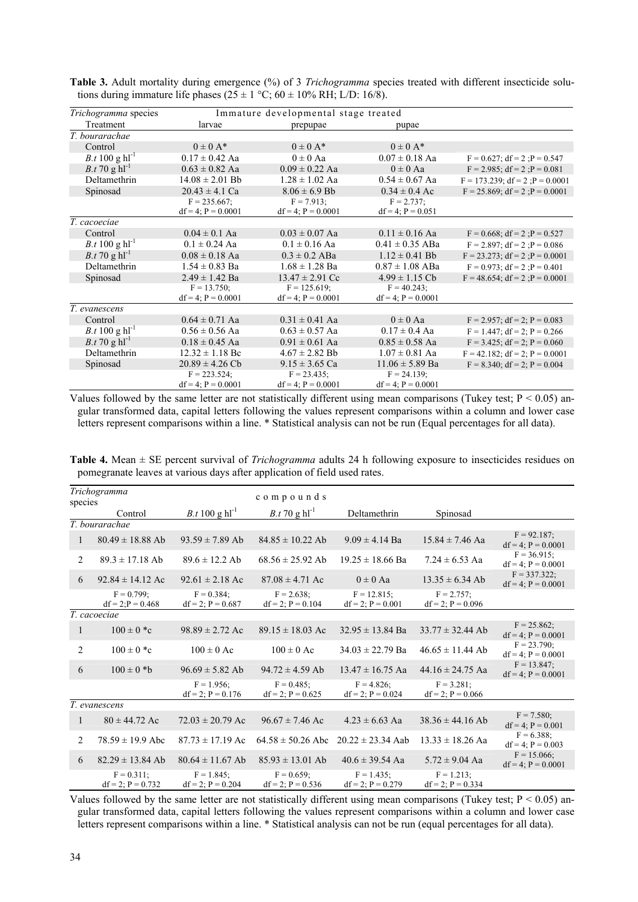| <i>Trichogramma</i> species       | Immature developmental stage treated                     |                         |                         |                                        |  |  |
|-----------------------------------|----------------------------------------------------------|-------------------------|-------------------------|----------------------------------------|--|--|
| Treatment                         | larvae                                                   | prepupae                |                         |                                        |  |  |
| T. bourarachae                    |                                                          |                         |                         |                                        |  |  |
| Control                           | $0 \pm 0$ A*                                             | $0 \pm 0$ A*            | $0 \pm 0$ A*            |                                        |  |  |
| <i>B.t</i> 100 g $hl^{-1}$        | $0.17 \pm 0.42$ Aa                                       | $0 \pm 0$ Aa            | $0.07 \pm 0.18$ Aa      | $F = 0.627$ ; df = 2 ; P = 0.547       |  |  |
| <i>B.t</i> 70 g $hl^{-1}$         | $0.63 \pm 0.82$ Aa<br>$0.09 \pm 0.22$ Aa<br>$0 \pm 0$ Aa |                         |                         | $F = 2.985$ ; df = 2 : $P = 0.081$     |  |  |
| Deltamethrin                      | $14.08 \pm 2.01$ Bb                                      | $1.28 \pm 1.02$ Aa      | $0.54 \pm 0.67$ Aa      | $F = 173.239$ ; df = 2; $P = 0.0001$   |  |  |
| Spinosad                          | $20.43 \pm 4.1$ Ca                                       | $8.06 \pm 6.9$ Bb       | $0.34 \pm 0.4$ Ac       | $F = 25.869$ ; df = 2; $P = 0.0001$    |  |  |
|                                   | $F = 235.667$ ;                                          | $F = 7.913$ ;           | $F = 2.737$ ;           |                                        |  |  |
|                                   | $df = 4$ ; $P = 0.0001$                                  | $df = 4$ ; $P = 0.0001$ | $df = 4$ ; $P = 0.051$  |                                        |  |  |
| T. cacoeciae                      |                                                          |                         |                         |                                        |  |  |
| Control                           | $0.04 \pm 0.1$ Aa                                        | $0.03 \pm 0.07$ Aa      | $0.11 \pm 0.16$ Aa      | $F = 0.668$ ; df = 2; $P = 0.527$      |  |  |
| <i>B.t</i> 100 g $hl^{-1}$        | $0.1 \pm 0.24$ Aa                                        | $0.1 \pm 0.16$ Aa       | $0.41 \pm 0.35$ ABa     | $F = 2.897$ ; df = 2 ; $P = 0.086$     |  |  |
| <i>B.t</i> 70 g $hl^{-1}$         | $0.08 \pm 0.18$ Aa                                       | $0.3 \pm 0.2$ ABa       | $1.12 \pm 0.41$ Bb      | $F = 23.273$ ; df = 2 ; $P = 0.0001$   |  |  |
| Deltamethrin                      | $1.54 \pm 0.83$ Ba                                       | $1.68 \pm 1.28$ Ba      | $0.87 \pm 1.08$ ABa     | $F = 0.973$ ; df = 2 ; P = 0.401       |  |  |
| Spinosad                          | $2.49 \pm 1.42$ Ba                                       | $13.47 \pm 2.91$ Cc     | $4.99 \pm 1.15$ Cb      | $F = 48.654$ ; df = 2 ; P = 0.0001     |  |  |
|                                   | $F = 13.750$ ;                                           | $F = 125.619$ ;         | $F = 40.243$ ;          |                                        |  |  |
|                                   | $df = 4$ ; $P = 0.0001$                                  | $df = 4$ ; $P = 0.0001$ | $df = 4$ ; $P = 0.0001$ |                                        |  |  |
| T. evanescens                     |                                                          |                         |                         |                                        |  |  |
| Control                           | $0.64 \pm 0.71$ Aa                                       | $0.31 \pm 0.41$ Aa      | $0 \pm 0$ Aa            | $F = 2.957$ ; df = 2; P = 0.083        |  |  |
| <i>B.t</i> 100 g $\text{hl}^{-1}$ | $0.56 \pm 0.56$ Aa                                       | $0.63 \pm 0.57$ Aa      | $0.17 \pm 0.4$ Aa       | $F = 1.447$ ; df = 2; P = 0.266        |  |  |
| <i>B.t</i> 70 g $hl^{-1}$         | $0.18 \pm 0.45$ Aa                                       | $0.91 \pm 0.61$ Aa      | $0.85 \pm 0.58$ Aa      | $F = 3.425$ ; df = 2; P = 0.060        |  |  |
| Deltamethrin                      | $12.32 \pm 1.18$ Bc                                      | $4.67 \pm 2.82$ Bb      | $1.07 \pm 0.81$ Aa      | $F = 42.182$ ; $df = 2$ ; $P = 0.0001$ |  |  |
| Spinosad                          | $20.89 \pm 4.26$ Cb                                      | $9.15 \pm 3.65$ Ca      | $11.06 \pm 5.89$ Ba     | $F = 8.340$ ; df = 2; P = 0.004        |  |  |
|                                   | $F = 223.524$ ;                                          | $F = 23.435$ ;          | $F = 24.139$ ;          |                                        |  |  |
|                                   | $df = 4$ ; $P = 0.0001$                                  | $df = 4$ ; $P = 0.0001$ | $df = 4$ ; $P = 0.0001$ |                                        |  |  |

**Table 3.** Adult mortality during emergence (%) of 3 *Trichogramma* species treated with different insecticide solutions during immature life phases ( $25 \pm 1$  °C;  $60 \pm 10\%$  RH; L/D: 16/8).

Values followed by the same letter are not statistically different using mean comparisons (Tukey test;  $P < 0.05$ ) angular transformed data, capital letters following the values represent comparisons within a column and lower case letters represent comparisons within a line. \* Statistical analysis can not be run (Equal percentages for all data).

| <b>Table 4.</b> Mean $\pm$ SE percent survival of <i>Trichogramma</i> adults 24 h following exposure to insecticides residues on |  |  |  |
|----------------------------------------------------------------------------------------------------------------------------------|--|--|--|
| pomegranate leaves at various days after application of field used rates.                                                        |  |  |  |

| Trichogramma   |                                       |                                         |                                         |                                          |                                         |                                            |  |
|----------------|---------------------------------------|-----------------------------------------|-----------------------------------------|------------------------------------------|-----------------------------------------|--------------------------------------------|--|
| species        |                                       |                                         | compounds                               |                                          |                                         |                                            |  |
|                | Control                               | <i>B.t</i> 100 g $hl^{-1}$              | <i>B.t</i> 70 g $hl^{-1}$               | Deltamethrin                             | Spinosad                                |                                            |  |
|                | T. bourarachae                        |                                         |                                         |                                          |                                         |                                            |  |
| 1              | $80.49 \pm 18.88$ Ab                  | $93.59 \pm 7.89$ Ab                     | $84.85 \pm 10.22$ Ab                    | $9.09 \pm 4.14$ Ba                       | $15.84 \pm 7.46$ Aa                     | $F = 92.187$ ;<br>$df = 4$ ; $P = 0.0001$  |  |
| $\overline{2}$ | $89.3 \pm 17.18$ Ab                   | $89.6 \pm 12.2$ Ab                      | $68.56 \pm 25.92$ Ab                    | $19.25 \pm 18.66$ Ba                     | $7.24 \pm 6.53$ Aa                      | $F = 36.915$ ;<br>$df = 4$ ; $P = 0.0001$  |  |
| 6              | $92.84 \pm 14.12$ Ac                  | $92.61 \pm 2.18$ Ac                     | $87.08 \pm 4.71$ Ac                     | $0 \pm 0$ Aa                             | $13.35 \pm 6.34$ Ab                     | $F = 337.322$ ;<br>$df = 4$ ; $P = 0.0001$ |  |
|                | $F = 0.799$ ;<br>$df = 2P = 0.468$    | $F = 0.384$ :<br>$df = 2$ ; $P = 0.687$ | $F = 2.638$ :<br>$df = 2$ ; $P = 0.104$ | $F = 12.815$ :<br>$df = 2$ ; $P = 0.001$ | $F = 2.757$ ;<br>$df = 2$ ; $P = 0.096$ |                                            |  |
|                | T. cacoeciae                          |                                         |                                         |                                          |                                         |                                            |  |
| 1              | $100 \pm 0$ *c                        | $98.89 \pm 2.72$ Ac                     | $89.15 \pm 18.03$ Ac                    | $32.95 \pm 13.84$ Ba                     | $33.77 \pm 32.44$ Ab                    | $F = 25.862$ ;<br>$df = 4$ ; $P = 0.0001$  |  |
| $\overline{2}$ | $100 \pm 0$ *c                        | $100 \pm 0$ Ac                          | $100 \pm 0$ Ac                          | $34.03 \pm 22.79$ Ba                     | $46.65 \pm 11.44$ Ab                    | $F = 23.790$ ;<br>$df = 4$ ; $P = 0.0001$  |  |
| 6              | $100 \pm 0$ *b                        | $96.69 \pm 5.82$ Ab                     | $94.72 \pm 4.59$ Ab                     | $13.47 \pm 16.75$ Aa                     | $44.16 \pm 24.75$ Aa                    | $F = 13.847$ ;<br>$df = 4$ ; $P = 0.0001$  |  |
|                |                                       | $F = 1.956$ ;<br>$df = 2$ ; $P = 0.176$ | $F = 0.485$ ;<br>$df = 2$ ; $P = 0.625$ | $F = 4.826$ :<br>$df = 2$ ; $P = 0.024$  | $F = 3.281$ ;<br>$df = 2$ ; $P = 0.066$ |                                            |  |
| T. evanescens  |                                       |                                         |                                         |                                          |                                         |                                            |  |
| 1              | $80 \pm 44.72$ Ac                     | $72.03 \pm 20.79$ Ac                    | $96.67 \pm 7.46$ Ac                     | $4.23 \pm 6.63$ Aa                       | $38.36 \pm 44.16$ Ab                    | $F = 7.580$ ;<br>$df = 4$ ; $P = 0.001$    |  |
| 2              | $78.59 \pm 19.9$ Abc                  | $87.73 \pm 17.19$ Ac                    | $64.58 \pm 50.26$ Abc                   | $20.22 \pm 23.34$ Aab                    | $13.33 \pm 18.26$ Aa                    | $F = 6.388$ :<br>$df = 4$ ; $P = 0.003$    |  |
| 6              | $82.29 \pm 13.84$ Ab                  | $80.64 \pm 11.67$ Ab                    | $85.93 \pm 13.01$ Ab                    | $40.6 \pm 39.54$ Aa                      | $5.72 \pm 9.04$ Aa                      | $F = 15.066$ ;<br>$df = 4$ ; $P = 0.0001$  |  |
|                | $F = 0.311$ ;<br>$df = 2$ ; P = 0.732 | $F = 1.845$ ;<br>$df = 2$ ; P = 0.204   | $F = 0.659$ ;<br>$df = 2$ ; P = 0.536   | $F = 1.435$ ;<br>$df = 2$ ; $P = 0.279$  | $F = 1.213$ ;<br>$df = 2$ ; P = 0.334   |                                            |  |

Values followed by the same letter are not statistically different using mean comparisons (Tukey test;  $P < 0.05$ ) angular transformed data, capital letters following the values represent comparisons within a column and lower case letters represent comparisons within a line. \* Statistical analysis can not be run (equal percentages for all data).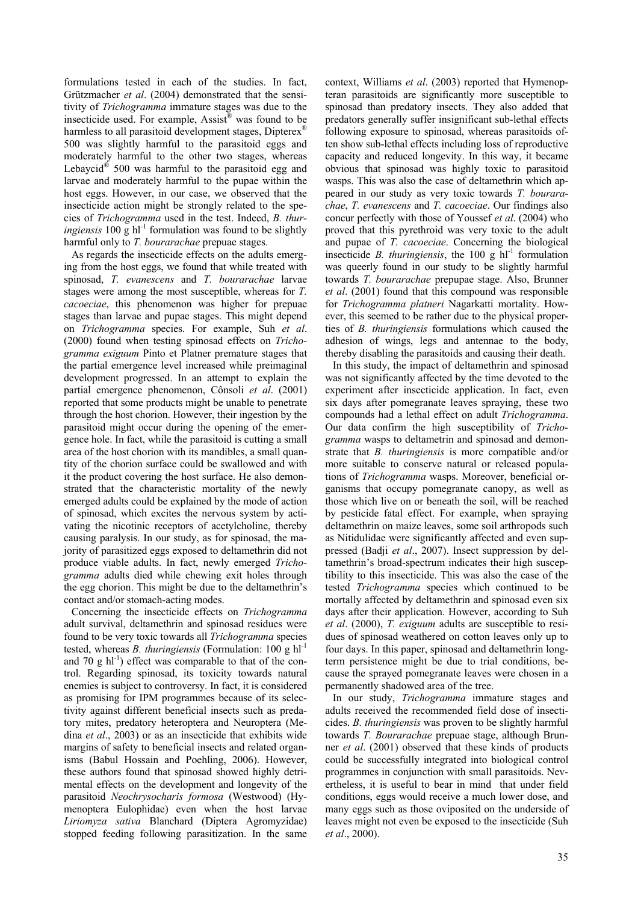formulations tested in each of the studies. In fact, Grützmacher *et al*. (2004) demonstrated that the sensitivity of *Trichogramma* immature stages was due to the insecticide used. For example, Assist® was found to be harmless to all parasitoid development stages, Dipterex<sup>®</sup> 500 was slightly harmful to the parasitoid eggs and moderately harmful to the other two stages, whereas Lebaycid<sup>®</sup> 500 was harmful to the parasitoid egg and larvae and moderately harmful to the pupae within the host eggs. However, in our case, we observed that the insecticide action might be strongly related to the species of *Trichogramma* used in the test. Indeed, *B. thuringiensis* 100 g  $h^{-1}$  formulation was found to be slightly harmful only to *T. bourarachae* prepuae stages.

As regards the insecticide effects on the adults emerging from the host eggs, we found that while treated with spinosad, *T. evanescens* and *T. bourarachae* larvae stages were among the most susceptible, whereas for *T. cacoeciae*, this phenomenon was higher for prepuae stages than larvae and pupae stages. This might depend on *Trichogramma* species. For example, Suh *et al*. (2000) found when testing spinosad effects on *Trichogramma exiguum* Pinto et Platner premature stages that the partial emergence level increased while preimaginal development progressed. In an attempt to explain the partial emergence phenomenon, Cônsoli *et al*. (2001) reported that some products might be unable to penetrate through the host chorion. However, their ingestion by the parasitoid might occur during the opening of the emergence hole. In fact, while the parasitoid is cutting a small area of the host chorion with its mandibles, a small quantity of the chorion surface could be swallowed and with it the product covering the host surface. He also demonstrated that the characteristic mortality of the newly emerged adults could be explained by the mode of action of spinosad, which excites the nervous system by activating the nicotinic receptors of acetylcholine, thereby causing paralysis. In our study, as for spinosad, the majority of parasitized eggs exposed to deltamethrin did not produce viable adults. In fact, newly emerged *Trichogramma* adults died while chewing exit holes through the egg chorion. This might be due to the deltamethrin's contact and/or stomach-acting modes.

Concerning the insecticide effects on *Trichogramma* adult survival, deltamethrin and spinosad residues were found to be very toxic towards all *Trichogramma* species tested, whereas *B. thuringiensis* (Formulation: 100 g hl-1 and 70 g  $\text{h}$ <sup>1</sup>) effect was comparable to that of the control. Regarding spinosad, its toxicity towards natural enemies is subject to controversy. In fact, it is considered as promising for IPM programmes because of its selectivity against different beneficial insects such as predatory mites, predatory heteroptera and Neuroptera (Medina *et al*., 2003) or as an insecticide that exhibits wide margins of safety to beneficial insects and related organisms (Babul Hossain and Poehling, 2006). However, these authors found that spinosad showed highly detrimental effects on the development and longevity of the parasitoid *Neochrysocharis formosa* (Westwood) (Hymenoptera Eulophidae) even when the host larvae *Liriomyza sativa* Blanchard (Diptera Agromyzidae) stopped feeding following parasitization. In the same

context, Williams *et al*. (2003) reported that Hymenopteran parasitoids are significantly more susceptible to spinosad than predatory insects. They also added that predators generally suffer insignificant sub-lethal effects following exposure to spinosad, whereas parasitoids often show sub-lethal effects including loss of reproductive capacity and reduced longevity. In this way, it became obvious that spinosad was highly toxic to parasitoid wasps. This was also the case of deltamethrin which appeared in our study as very toxic towards *T. bourarachae*, *T. evanescens* and *T. cacoeciae*. Our findings also concur perfectly with those of Youssef *et al*. (2004) who proved that this pyrethroid was very toxic to the adult and pupae of *T. cacoeciae*. Concerning the biological insecticide *B. thuringiensis*, the 100 g  $hl<sup>-1</sup>$  formulation was queerly found in our study to be slightly harmful towards *T. bourarachae* prepupae stage. Also, Brunner *et al*. (2001) found that this compound was responsible for *Trichogramma platneri* Nagarkatti mortality. However, this seemed to be rather due to the physical properties of *B. thuringiensis* formulations which caused the adhesion of wings, legs and antennae to the body, thereby disabling the parasitoids and causing their death.

In this study, the impact of deltamethrin and spinosad was not significantly affected by the time devoted to the experiment after insecticide application. In fact, even six days after pomegranate leaves spraying, these two compounds had a lethal effect on adult *Trichogramma*. Our data confirm the high susceptibility of *Trichogramma* wasps to deltametrin and spinosad and demonstrate that *B. thuringiensis* is more compatible and/or more suitable to conserve natural or released populations of *Trichogramma* wasps. Moreover, beneficial organisms that occupy pomegranate canopy, as well as those which live on or beneath the soil, will be reached by pesticide fatal effect. For example, when spraying deltamethrin on maize leaves, some soil arthropods such as Nitidulidae were significantly affected and even suppressed (Badji *et al*., 2007). Insect suppression by deltamethrin's broad-spectrum indicates their high susceptibility to this insecticide. This was also the case of the tested *Trichogramma* species which continued to be mortally affected by deltamethrin and spinosad even six days after their application. However, according to Suh *et al*. (2000), *T. exiguum* adults are susceptible to residues of spinosad weathered on cotton leaves only up to four days. In this paper, spinosad and deltamethrin longterm persistence might be due to trial conditions, because the sprayed pomegranate leaves were chosen in a permanently shadowed area of the tree.

In our study, *Trichogramma* immature stages and adults received the recommended field dose of insecticides. *B. thuringiensis* was proven to be slightly harmful towards *T. Bourarachae* prepuae stage, although Brunner *et al*. (2001) observed that these kinds of products could be successfully integrated into biological control programmes in conjunction with small parasitoids. Nevertheless, it is useful to bear in mind that under field conditions, eggs would receive a much lower dose, and many eggs such as those oviposited on the underside of leaves might not even be exposed to the insecticide (Suh *et al*., 2000).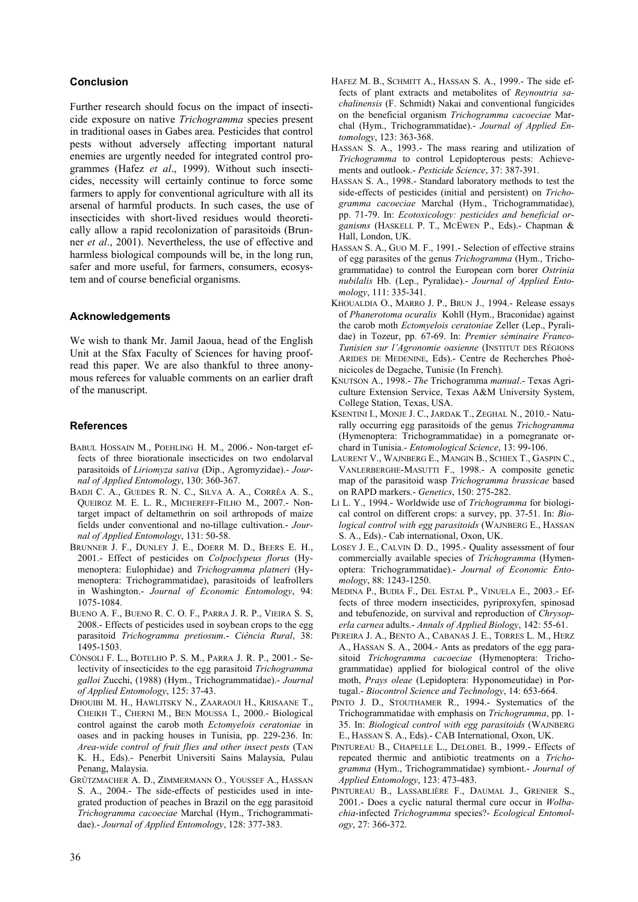# **Conclusion**

Further research should focus on the impact of insecticide exposure on native *Trichogramma* species present in traditional oases in Gabes area. Pesticides that control pests without adversely affecting important natural enemies are urgently needed for integrated control programmes (Hafez *et al*., 1999). Without such insecticides, necessity will certainly continue to force some farmers to apply for conventional agriculture with all its arsenal of harmful products. In such cases, the use of insecticides with short-lived residues would theoretically allow a rapid recolonization of parasitoids (Brunner *et al*., 2001). Nevertheless, the use of effective and harmless biological compounds will be, in the long run, safer and more useful, for farmers, consumers, ecosystem and of course beneficial organisms.

# **Acknowledgements**

We wish to thank Mr. Jamil Jaoua, head of the English Unit at the Sfax Faculty of Sciences for having proofread this paper. We are also thankful to three anonymous referees for valuable comments on an earlier draft of the manuscript.

#### **References**

- BABUL HOSSAIN M., POEHLING H. M., 2006.- Non-target effects of three biorationale insecticides on two endolarval parasitoids of *Liriomyza sativa* (Dip., Agromyzidae).- *Journal of Applied Entomology*, 130: 360-367.
- BADJI C. A., GUEDES R. N. C., SILVA A. A., CORRÊA A. S., QUEIROZ M. E. L. R., MICHEREFF-FILHO M., 2007.- Nontarget impact of deltamethrin on soil arthropods of maize fields under conventional and no-tillage cultivation.- *Journal of Applied Entomology*, 131: 50-58.
- BRUNNER J. F., DUNLEY J. E., DOERR M. D., BEERS E. H., 2001.- Effect of pesticides on *Colpoclypeus florus* (Hymenoptera: Eulophidae) and *Trichogramma platneri* (Hymenoptera: Trichogrammatidae), parasitoids of leafrollers in Washington.- *Journal of Economic Entomology*, 94: 1075-1084.
- BUENO A. F., BUENO R. C. O. F., PARRA J. R. P., VIEIRA S. S, 2008.- Effects of pesticides used in soybean crops to the egg parasitoid *Trichogramma pretiosum*.- *Ciência Rural*, 38: 1495-1503.
- CÔNSOLI F. L., BOTELHO P. S. M., PARRA J. R. P., 2001.- Selectivity of insecticides to the egg parasitoid *Trichogramma galloi* Zucchi, (1988) (Hym., Trichogrammatidae).- *Journal of Applied Entomology*, 125: 37-43.
- DHOUIBI M. H., HAWLITSKY N., ZAARAOUI H., KRISAANE T., CHEIKH T., CHERNI M., BEN MOUSSA I., 2000.- Biological control against the carob moth *Ectomyelois ceratoniae* in oases and in packing houses in Tunisia, pp. 229-236. In: *Area-wide control of fruit flies and other insect pests* (TAN K. H., Eds).- Penerbit Universiti Sains Malaysia, Pulau Penang, Malaysia.
- GRÛTZMACHER A. D., ZIMMERMANN O., YOUSSEF A., HASSAN S. A., 2004.- The side-effects of pesticides used in integrated production of peaches in Brazil on the egg parasitoid *Trichogramma cacoeciae* Marchal (Hym., Trichogrammatidae).- *Journal of Applied Entomology*, 128: 377-383.
- HAFEZ M. B., SCHMITT A., HASSAN S. A., 1999.- The side effects of plant extracts and metabolites of *Reynoutria sachalinensis* (F. Schmidt) Nakai and conventional fungicides on the beneficial organism *Trichogramma cacoeciae* Marchal (Hym., Trichogrammatidae).- *Journal of Applied Entomology*, 123: 363-368.
- HASSAN S. A., 1993.- The mass rearing and utilization of *Trichogramma* to control Lepidopterous pests: Achievements and outlook.- *Pesticide Science*, 37: 387-391.
- HASSAN S. A., 1998.- Standard laboratory methods to test the side-effects of pesticides (initial and persistent) on *Trichogramma cacoeciae* Marchal (Hym., Trichogrammatidae), pp. 71-79. In: *Ecotoxicology: pesticides and beneficial organisms* (HASKELL P. T., MCEWEN P., Eds).- Chapman & Hall, London, UK.
- HASSAN S. A., GUO M. F., 1991.- Selection of effective strains of egg parasites of the genus *Trichogramma* (Hym., Trichogrammatidae) to control the European corn borer *Ostrinia nubilalis* Hb. (Lep., Pyralidae).- *Journal of Applied Entomology*, 111: 335-341.
- KHOUALDIA O., MARRO J. P., BRUN J., 1994.- Release essays of *Phanerotoma ocuralis* Kohll (Hym., Braconidae) against the carob moth *Ectomyelois ceratoniae* Zeller (Lep., Pyralidae) in Tozeur, pp. 67-69. In: *Premier séminaire Franco-Tunisien sur l'Agronomie oasienne* (INSTITUT DES RÉGIONS ARIDES DE MEDENINE, Eds).- Centre de Recherches Phoénicicoles de Degache, Tunisie (In French).
- KNUTSON A., 1998.- *The* Trichogramma *manual*.- Texas Agriculture Extension Service, Texas A&M University System, College Station, Texas, USA.
- KSENTINI I., MONJE J. C., JARDAK T., ZEGHAL N., 2010.- Naturally occurring egg parasitoids of the genus *Trichogramma* (Hymenoptera: Trichogrammatidae) in a pomegranate orchard in Tunisia.- *Entomological Science*, 13: 99-106.
- LAURENT V., WAJNBERG E., MANGIN B., SCHIEX T., GASPIN C., VANLERBERGHE-MASUTTI F., 1998.- A composite genetic map of the parasitoid wasp *Trichogramma brassicae* based on RAPD markers.- *Genetics*, 150: 275-282.
- LI L. Y., 1994.- Worldwide use of *Trichogramma* for biological control on different crops: a survey, pp. 37-51. In: *Biological control with egg parasitoids* (WAJNBERG E., HASSAN S. A., Eds).- Cab international, Oxon, UK.
- LOSEY J. E., CALVIN D. D., 1995.- Quality assessment of four commercially available species of *Trichogramma* (Hymenoptera: Trichogrammatidae).- *Journal of Economic Entomology*, 88: 1243-1250.
- MEDINA P., BUDIA F., DEL ESTAL P., VINUELA E., 2003.- Effects of three modern insecticides, pyriproxyfen, spinosad and tebufenozide, on survival and reproduction of *Chrysoperla carnea* adults.- *Annals of Applied Biology*, 142: 55-61.
- PEREIRA J. A., BENTO A., CABANAS J. E., TORRES L. M., HERZ A., HASSAN S. A., 2004.- Ants as predators of the egg parasitoid *Trichogramma cacoeciae* (Hymenoptera: Trichogrammatidae) applied for biological control of the olive moth, *Prays oleae* (Lepidoptera: Hyponomeutidae) in Portugal.- *Biocontrol Science and Technology*, 14: 653-664.
- PINTO J. D., STOUTHAMER R., 1994.- Systematics of the Trichogrammatidae with emphasis on *Trichogramma*, pp. 1- 35. In: *Biological control with egg parasitoids* (WAJNBERG E., HASSAN S. A., Eds).- CAB International, Oxon, UK.
- PINTUREAU B., CHAPELLE L., DELOBEL B., 1999.- Effects of repeated thermic and antibiotic treatments on a *Trichogramma* (Hym., Trichogrammatidae) symbiont.- *Journal of Applied Entomology*, 123: 473-483.
- PINTUREAU B., LASSABLIÈRE F., DAUMAL J., GRENIER S., 2001.- Does a cyclic natural thermal cure occur in *Wolbachia*-infected *Trichogramma* species?- *Ecological Entomology*, 27: 366-372.